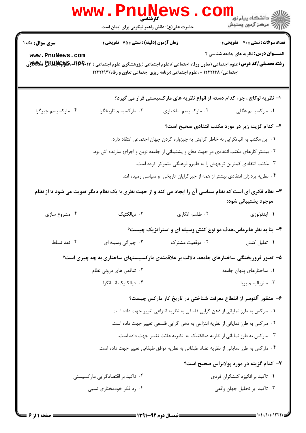|                                   | <b>www.PnuNews</b><br>حضرت علی(ع): دانش راهبر نیکویی برای ایمان است                                                                                                                        |                                                                                           | ڪ دانشڪاه پيام نور<br><mark>∕</mark> 7 مرڪز آزمون وسنڊش                                      |
|-----------------------------------|--------------------------------------------------------------------------------------------------------------------------------------------------------------------------------------------|-------------------------------------------------------------------------------------------|----------------------------------------------------------------------------------------------|
| سری سوال: یک ۱<br>www.PnuNews.com | زمان آزمون (دقیقه) : تستی : 75 گشریحی : 0<br><b>رشته تحصیلی/کد درس:</b> علوم اجتماعی (تعاون ورفاه اجتماعی )،علوم اجتماعی (پژوهشگری علوم اجتماعی ) <b>۲۰۰†۲۹۲۰، کیپاچاپلیلیا چی کی</b><br>د | اجتماعی) ۱۲۲۲۱۴۸ - ،علوم اجتماعی (برنامه ریزی اجتماعی تعاون و رفاه) ۱۲۲۲۱۹۳               | <b>تعداد سوالات : تستی : 40 - تشریحی : .</b><br><b>عنـــوان درس:</b> نظریه های جامعه شناسی ۲ |
|                                   |                                                                                                                                                                                            | ا– نظریه لوکاچ ، جزء کدام دسته از انواع نظریه های مارکسیستی قرار می گیرد؟                 |                                                                                              |
| ۰۴ مارکسیسم جبرگرا                | ۰۳ ماركسيسم تاريخگرا                                                                                                                                                                       | ۰۲ مارکسیسم ساختاری                                                                       | ۰۱ مارکسیسم هگلی                                                                             |
|                                   |                                                                                                                                                                                            |                                                                                           | ۲- کدام گزینه زیر در مورد مکتب انتقادی صحیح است؟                                             |
|                                   |                                                                                                                                                                                            | ۰۱ این مکتب به اثباتگرایی به خاطر گرایش به چیزواره کردن جهان اجتماعی انتقاد دارد.         |                                                                                              |
|                                   |                                                                                                                                                                                            | ۰۲ بیشتر کارهای مکتب انتقادی در جهت دفاع و پشتیبانی از جامعه نوین و اجزایٔ سازنده اش بود. |                                                                                              |
|                                   |                                                                                                                                                                                            | ۰۳ مکتب انتقادی کمترین توجهش را به قلمرو فرهنگی متمرکز کرده است.                          |                                                                                              |
|                                   |                                                                                                                                                                                            | ۰۴ نظریه پردازان انتقادی بیشتر از همه از جبرگرایان تاریخی و سیاسی رمیده اند.              |                                                                                              |
|                                   | ۳- نظام فکری ای است که نظام سیاسی آن را ایجاد می کند و از جهت نظری با یک نظام دیگر تقویت می شود تا از نظام                                                                                 |                                                                                           | موجود پشتيباني شود:                                                                          |
| ۰۴ مشروع سازي                     | ۰۳ دیالکتیک                                                                                                                                                                                | ۰۲ طلسم انگاری                                                                            | ۰۱ ايدئولوژي                                                                                 |
|                                   |                                                                                                                                                                                            | ۴- بنا به نظر هابرماس،هدف دو نوع کنش وسیله ای و استراتژیک چیست؟                           |                                                                                              |
| ۰۴ نقد تسلط                       | ۰۳ چیرگی وسیله ای                                                                                                                                                                          | ۰۲ موقعیت مشترک                                                                           | ۰۱ تقلیل کنش                                                                                 |
|                                   | ۵– تصور فروریختگی ساختارهای جامعه، دلالت بر علاقمندی مارکسیستهای ساختاری به چه چیزی است؟                                                                                                   |                                                                                           |                                                                                              |
|                                   | ۰۲ تناقض های درونی نظام                                                                                                                                                                    |                                                                                           | ۰۱ ساختارهای پنهان جامعه                                                                     |
|                                   | ۰۴ دیالکتیک انسانگرا                                                                                                                                                                       |                                                                                           | ۰۳ ماترياليسم پويا                                                                           |
|                                   |                                                                                                                                                                                            | ۶– منظور آلتوسر از انقطاع معرفت شناختی در تاریخ کار مارکس چیست؟                           |                                                                                              |
|                                   |                                                                                                                                                                                            | ۰۱ مارکس به طرز نمایانی از ذهن گرایی فلسفی به نظریه انتزاعی تغییر جهت داده است.           |                                                                                              |
|                                   |                                                                                                                                                                                            | ۰۲ مارکس به طرز نمایانی از نظریه انتزاعی به ذهن گرایی فلسفی تغییر جهت داده است.           |                                                                                              |
|                                   |                                                                                                                                                                                            | ۰۳ مارکس به طرز نمایانی از نظریه دیالکتیک به نظریه علیّت تغییر جهت داده است.              |                                                                                              |
|                                   |                                                                                                                                                                                            | ۰۴ مارکس به طرز نمایانی از نظریه تضاد طبقاتی به نظریه توافق طبقاتی تغییر جهت داده است.    |                                                                                              |
|                                   |                                                                                                                                                                                            |                                                                                           | ۷– کدام گزینه در مورد پولانزاس صحیح است؟                                                     |
|                                   | ۰۲ تاکید بر اقتصادگرایی مارکسیستی                                                                                                                                                          |                                                                                           | ۰۱ تاکید بر انگیزه کنشگران فردی                                                              |
|                                   |                                                                                                                                                                                            |                                                                                           |                                                                                              |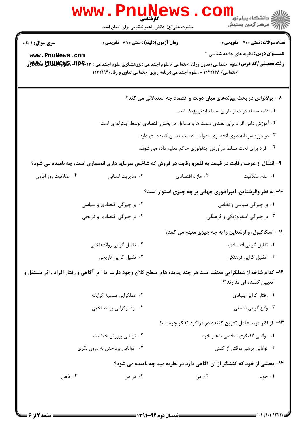| <b>سری سوال : ۱ یک</b>                                                                                                                                           | زمان آزمون (دقیقه) : تستی : 75 آتشریحی : 0 |                                                                                                           | <b>تعداد سوالات : تستی : 40 ٪ تشریحی : 0</b> |
|------------------------------------------------------------------------------------------------------------------------------------------------------------------|--------------------------------------------|-----------------------------------------------------------------------------------------------------------|----------------------------------------------|
| www.PnuNews.com<br><b>رشته تحصیلی/کد درس:</b> علوم اجتماعی (تعاون ورفاه اجتماعی )،علوم اجتماعی (پژوهشگری علوم اجتماعی ) <b>۲۰۰†۲۹۲۰، کیپاچاپلیلیا چی کی</b><br>د |                                            | اجتماعی) ۱۲۲۲۱۴۸ - ،علوم اجتماعی (برنامه ریزی اجتماعی تعاون و رفاه) ۱۲۲۲۱۹۳                               | <b>عنـــوان درس:</b> نظریه های جامعه شناسی ۲ |
|                                                                                                                                                                  |                                            | ۸– پولانزاس در بحث پیوندهای میان دولت و اقتصاد چه استدلالی می کند؟                                        |                                              |
|                                                                                                                                                                  |                                            | ٠١ ادامه سلطه دولت از طريق سلطه ايدئولوژيک است.                                                           |                                              |
|                                                                                                                                                                  |                                            | ۲ . آموزش دادن افراد برای تصدی سمت ها و مشاغل در بخش اقتصادی توسط ایدئولوژی است.                          |                                              |
|                                                                                                                                                                  |                                            | ۰۳ در دوره سرمایه داری انحصاری ، دولت اهمیت تعیین کننده ا ی دارد.                                         |                                              |
|                                                                                                                                                                  |                                            | ۰۴ افراد برای تحت تسلط درآوردن ایدئولوژی حاکم تعلیم داده می شوند.                                         |                                              |
|                                                                                                                                                                  |                                            | ۹- انتقال از عرصه رقابت در قیمت به قلمرو رقابت در فروش که شاخص سرمایه داری انحصاری است، چه نامیده می شود؟ |                                              |
| ۰۴ عقلانيت روز افزون                                                                                                                                             | ۰۳ مدیریت انسانی                           | ۰۲ مازاد اقتصادی                                                                                          | ۰۱ عدم عقلانیت                               |
|                                                                                                                                                                  |                                            | ۱۰– به نظر والرشتاین، امپراطوری جهانی بر چه چیزی استوار است؟                                              |                                              |
|                                                                                                                                                                  | ۰۲ بر چیرگی اقتصادی و سیاسی                |                                                                                                           | ۰۱ بر چیرگی سیاسی و نظامی                    |
|                                                                                                                                                                  | ۰۴ بر چیرگی اقتصادی و تاریخی               |                                                                                                           | ۰۳ بر چیرگی ایدئولوژیکی و فرهنگی             |
|                                                                                                                                                                  |                                            | 11- اسکاکپول، والرشتاین را به چه چیزی متهم می کمد؟                                                        |                                              |
|                                                                                                                                                                  | ۰۲ تقلیل گرایی روانشناختی                  |                                                                                                           | ۰۱ تقلیل گرایی اقتصادی                       |
|                                                                                                                                                                  | ۰۴ تقلیل گرایی تاریخی                      |                                                                                                           | ۰۳ تقلیل گرایی فرهنگی                        |
| ۱۲– کدام شاخه از عملگرایی معتقد است هر چند پدیده های سطح کلان وجود دارند اما " بر آگاهی و رفتار افراد ، اثر مستقل و                                              |                                            |                                                                                                           | تعیین کننده ای ندارند ؒ؟                     |
|                                                                                                                                                                  | ۰۲ عملگرايي تسميه گرايانه                  |                                                                                                           | ٠١. رفتار گرايي بنيادي                       |
|                                                                                                                                                                  | ۰۴ رفتارگرایی روانشناختی                   |                                                                                                           | ۰۳ واقع گرايي فلسفي                          |
|                                                                                                                                                                  |                                            | ۱۳– از نظر مید، عامل تعیین کننده در فراگرد تفکر چیست؟                                                     |                                              |
| ۰۲ توانايي پرورش خلاقيت                                                                                                                                          |                                            |                                                                                                           | ۰۱ توانایی گفتگوی شخصی با غیر خود            |
| ۰۴ توانایی پرداختن به درون نگری                                                                                                                                  |                                            |                                                                                                           | ۰۳ توانایی پرهیز موقتی از کنش                |
|                                                                                                                                                                  |                                            | ۱۴- بخشی از خود که کنشگر از آن آگاهی دارد در نظریه مید چه نامیده می شود؟                                  |                                              |
| ۰۴ ذهن                                                                                                                                                           | ۰۳ در من                                   | ۰۲ من                                                                                                     | ۰۱ خود                                       |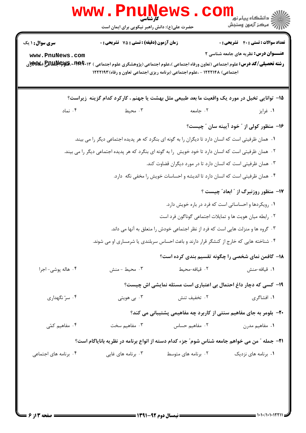| <b>سری سوال :</b> ۱ یک | زمان آزمون (دقیقه) : تستی : 75 ٪ تشریحی : 0                                                                                                                                                                       |                                                                                  | <b>تعداد سوالات : تستی : 40 ٪ تشریحی : 0</b> |
|------------------------|-------------------------------------------------------------------------------------------------------------------------------------------------------------------------------------------------------------------|----------------------------------------------------------------------------------|----------------------------------------------|
| www.PnuNews.com        | <b>رشته تحصیلی/کد درس:</b> علوم اجتماعی (تعاون ورفاه اجتماعی )،علوم اجتماعی (پژوهشگری علوم اجتماعی ) <b>۱۴۹۴۰۰۳:ERRMA&amp; (WA</b><br>اجتماعی) ۱۲۲۲۱۴۸ - ،علوم اجتماعی (برنامه ریزی اجتماعی تعاون و رفاه) ۱۲۲۲۱۹۳ |                                                                                  | <b>عنـــوان درس:</b> نظریه های جامعه شناسی ۲ |
|                        | ۱۵– توانایی تخیل در مورد یک واقعیت ما بعد طبیعی مثل بهشت یا جهنم ، کارکرد کدام گزینه زیراست؟                                                                                                                      |                                                                                  |                                              |
| ۰۴ نماد                | ۰۳ محیط                                                                                                                                                                                                           | ۰۲ جامعه                                                                         | ۰۱ غرایز                                     |
|                        |                                                                                                                                                                                                                   |                                                                                  | ۱۶- منظور کولی از " خود آیینه سان " چیست؟    |
|                        | ۰۱ همان ظرفیتی است که انسان دارد تا دیگران را به گونه ای بنگرد که هر پدیده اجتماعی دیگر را می بیند.                                                                                                               |                                                                                  |                                              |
|                        | ۰۲ همان ظرفیتی است که انسان دارد تا خود خویش  را به گونه ای بنگرد که هر پدیده اجتماعی دیگر را می بیند.                                                                                                            |                                                                                  |                                              |
|                        |                                                                                                                                                                                                                   | ۰۳ همان ظرفیتی است که انسان دارد تا در مورد دیگران قضاوت کند.                    |                                              |
|                        |                                                                                                                                                                                                                   | ۰۴ همان ظرفیتی است که انسان دارد تا اندیشه و احساسات خویش را مخفی نگه دارد.      |                                              |
|                        |                                                                                                                                                                                                                   |                                                                                  | 17- منظور روزنبرگ از " ابعاد" چیست ؟         |
|                        |                                                                                                                                                                                                                   | ۰۱ رویکردها و احساساتی است که فرد در باره خویش دارد.                             |                                              |
|                        |                                                                                                                                                                                                                   | ۰۲ رابطه میان هویت ها و تمایلات اجتماعی گوناگون فرد است                          |                                              |
|                        |                                                                                                                                                                                                                   | ۰۳ گروه ها و منزلت هایی است که فرد از نظر اجتماعی خودش را متعلق به آنها می داند. |                                              |
|                        | ۰۴ شناخته هایی که خارج از کنشگر قرار دارند و باعث احساس سربلندی یا شرمساری او می شوند.                                                                                                                            |                                                                                  |                                              |
|                        |                                                                                                                                                                                                                   | <b>۱۸</b> - گافمن نمای شخصی را چگونه تقسیم بندی کرده است؟                        |                                              |
| ۰۴ هاله پوشی- اجرا     | ۰۳ محیط - منش                                                                                                                                                                                                     | ۰۲ قيافه-محيط                                                                    | ٠١ قيافه-منش                                 |
|                        |                                                                                                                                                                                                                   | ۱۹- کسی که دچار داغ احتمال بی اعتباری است مسئله نمایشی اش چیست؟                  |                                              |
| ۰۴ سرّ نگهداری         | ۰۳ بی هویتی                                                                                                                                                                                                       | ۰۲ تخفیف تنش                                                                     | ۰۱ افشاگری                                   |
|                        |                                                                                                                                                                                                                   | <b>۲۰</b> - بلومر به جای مفاهیم سنتی از کاربرد چه مفاهیمی پشتیبانی می کند؟       |                                              |
| ۰۴ مفاهیم کمّی         | فاهیم سخت $\cdot$                                                                                                                                                                                                 | ٠٢ مفاهيم حساس                                                                   | ۰۱ مفاهیم مدرن                               |
|                        | ۲۱−  جمله ″ من می خواهم جامعه شناس شوم″ جزء کدام دسته از انواع برنامه در نظریه بانایاگام است؟                                                                                                                     |                                                                                  |                                              |
|                        |                                                                                                                                                                                                                   | ۰۲ برنامه های متوسط                                                              | ۰۱ برنامه های نزدیک                          |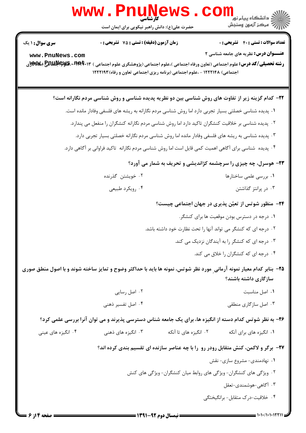## $= 1.11/1.1.1771$

**: نیمسال دوم ۹۲-۱۳۹۱ =** 

صفحه ۱۴ز ۶ =

## www.PnuNe

حضرت علی(ع): دانش راهبر نیکویی برای ایمان است

**تعداد سوالات : تستی : 40 قشریحی : 0 زمان آزمون (دقیقه) : تستی : 75 ٪ تشریحی : 0** 

<mark>سری سوال :</mark> ۱ یک

www.PnuNews.com رشته تحصیلی/کد درس: علوم اجتماعی (تعاون ورفاه اجتماعی )،علوم اجتماعی (پژوهشگری علوم اجتماعی ) ۲۰۱۲\*۲۹۰۹،RAUA (۲۳۴۴۰۲ اجتماعی) ۱۲۲۲۱۴۸ - ،علوم اجتماعی (برنامه ریزی اجتماعی تعاون و رفاه) ۱۲۲۲۱۹۳

۲۲- کدام گزینه زیر از تفاوت های روش شناسی بین دو نظریه پدیده شناسی و روش شناسی مردم نگارانه است؟

- ١. پديده شناسي خصلتي بسيار تجربي دارد اما روش شناسي مردم نگارانه به ريشه هاي فلسفي وفادار مانده است.
	- ۲ . پدیده شناسی بر خلاقیت کنشگران تاکید دارد اما روش شناسی مردم نگارانه کنشگران را منفعل می پندارد.
		- ۰۳ پدیده شناسی به ریشه های فلسفی وفادار مانده اما روش شناسی مردم نگارانه خصلتی بسیار تجربی دارد.
- ۰۴ پدیده شناسی برای آگاهی اهمیت کمی قایل است اما روش شناسی مردم نگارانه تاکید فراوانی بر آگاهی دارد.

۲۳- هوسرل، چه چیزی را سرچشمه کژاندیشی و تحریف به شمار می آورد؟

۰۲ خویشتن گذرنده ۰۱ بررسی علمی ساختارها ۰۴ ویکرد طبیعی ۰۳ در پرانتز گذاشتن

۲۴- منظور شوتس از تعیّن پذیری در جهان اجتماعی چیست؟

- ۰۱ درجه در دسترس بودن موقعیت ها برای کنشگر. ۰۲ درجه ای که کنشگر می تواند آنها را تحت نظارت خود داشته باشد. ۰۳ درجه ای که کنشگر را به آیندگان نزدیک می کند.
	- ۰۴ درجه ای که کنشگران را خلاق می کند.
- ۲۵- بنابر کدام معیار نمونه آرمانی ًورد نظر شوتس، نمونه ها باید با حداکثر وضوح و تمایز ساخته شوند و با اصول منطق صوری سازگاری داشته باشند؟
	- ۰۲ اصل رسایی ٠١. اصل مناسبت
	- ۰۴ اصل تفسیر ذهنی ۰۳ اصل سازگاری منطقی

۲۶- به نظر شوتس کدام دسته از انگیزه ها، برای یک جامعه شناس دسترسی پذیرند و می توان آنرا بررسی علمی کرد؟

۰۴ انگیزه های عینی

۲۷- برگر و لاکمن، کنش متقابل رودر رو را با چه عناصر سازنده ای تقسیم بندی کرده اند؟

- ۰۱ نهادمندی- مشروع سازی- نقش
- ۰۲ ویژگی های کنشگران- ویژگی های روابط میان کنشگران- ویژگی های کنش
	- ۰۳ آگاهی-هوشمندی-تعقل
	- ۰۴ خلاقیت-درک متقابل- برانگیختگی



**عنـــوان درس:** نظریه های جامعه شناسی ۲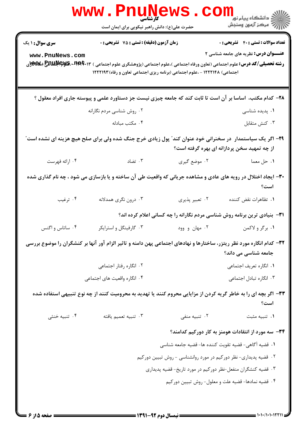|                                           | <b>www.PnuNews</b><br>کارشناسی<br>حضرت علی(ع): دانش راهبر نیکویی برای ایمان است                                                                                                                                                                              |                                                                  | ر دانشڪاه پيام نور <mark>−</mark><br>ا∛ مرکز آزمون وسنڊش                                     |
|-------------------------------------------|--------------------------------------------------------------------------------------------------------------------------------------------------------------------------------------------------------------------------------------------------------------|------------------------------------------------------------------|----------------------------------------------------------------------------------------------|
| <b>سری سوال : ۱ یک</b><br>www.PnuNews.com | زمان آزمون (دقیقه) : تستی : 75 تشریحی : 0<br><b>رشته تحصیلی/کد درس:</b> علوم اجتماعی (تعاون ورفاه اجتماعی )،علوم اجتماعی (پژوهشگری علوم اجتماعی ) <b>۱۴۹۴۰۰۳ RERUI بهکلای</b><br>اجتماعی) ۱۲۲۲۱۴۸ - ،علوم اجتماعی (برنامه ریزی اجتماعی تعاون و رفاه) ۱۲۲۲۱۹۳ |                                                                  | <b>تعداد سوالات : تستی : 40 - تشریحی : 0</b><br><b>عنـــوان درس:</b> نظریه های جامعه شناسی ۲ |
|                                           | ۲۸– کدام مکتب، اساسا بر آن است تا ثابت کند که جامعه چیزی نیست جز دستاورد علمی و پیوسته جاری افراد معقول ؟                                                                                                                                                    |                                                                  |                                                                                              |
|                                           | ۰۲ روش شناسی مردم نگارانه                                                                                                                                                                                                                                    |                                                                  | ۰۱ پدیده شناسی                                                                               |
|                                           | ۰۴ مكتب مبادله                                                                                                                                                                                                                                               |                                                                  | ٠٣ كنش متقابل                                                                                |
|                                           | ۲۹– اگر یک سیاستمدار ً در سخنرانی خود عنوان کند ّ پول زیادی خرج جنگ شده ولی برای صلح هیچ هزینه ای نشده است ّ                                                                                                                                                 |                                                                  | از چه تمهید سخن پردازانه ای بهره گرفته است؟                                                  |
| ۰۴ ارائه فهرست                            | تضاد $\cdot$ ۳                                                                                                                                                                                                                                               | ۰۲ موضع گیری                                                     | ۰۱ حل معما                                                                                   |
|                                           | ۳۰- ایجاد اختلال در رویه های عادی و مشاهده جریانی که واقعیت طی آن ساخته و یا بازسازی می شود ، چه نام گذاری شده                                                                                                                                               |                                                                  | است؟                                                                                         |
| ۰۴ ترغیب                                  | ۰۳ درون نگري همدلانه                                                                                                                                                                                                                                         | ۰۲ تعبير پذيري                                                   | ٠١ تظاهرات نقض كننده                                                                         |
|                                           |                                                                                                                                                                                                                                                              |                                                                  | <b>۳۱</b> - بنیادی ترین برنامه روش شناسی مردم نگارانه را چه کسانی اعلام کرده اند؟            |
| ۰۴ ساتاس و اگنس                           | ۰۳ گارفینگل و استرایکر                                                                                                                                                                                                                                       | ۰۲ مهان و وود                                                    | ۰۱ برگر و لاکمن                                                                              |
|                                           | ۳۲– کدام انگاره مورد نظر ریتزر، ساختارها و نهادهای اجتماعی پهن دامنه و تاثیر الزام آور آنها بر کنشگران را موضوع بررسی                                                                                                                                        |                                                                  | جامعه شناسی می داند؟                                                                         |
|                                           | ۰۲ انگاره رفتار اجتماعی                                                                                                                                                                                                                                      |                                                                  | ٠١ انگاره تعريف اجتماعي                                                                      |
|                                           | ۰۴ انگاره واقعیت های اجتماعی                                                                                                                                                                                                                                 |                                                                  | ۰۳ انگاره تبادل اجتماعی                                                                      |
|                                           | ۳۳– اگر بچه ای را به خاطر گریه کردن از مزایایی محروم کنند یا تهدید به محرومیت کنند از چه نوع تنبیهی استفاده شده                                                                                                                                              |                                                                  | است؟                                                                                         |
| ۰۴ تنبیه خنثی                             | ۰۳ تنبيه تعميم يافته                                                                                                                                                                                                                                         | ۰۲ تنبیه منفی                                                    | ۰۱ تنبيه مثبت                                                                                |
|                                           |                                                                                                                                                                                                                                                              |                                                                  | ۳۴- سه مورد از انتقادات هومنز به کار دورکیم کدامند؟                                          |
|                                           |                                                                                                                                                                                                                                                              | ١. قضيه آگاهي- قضيه تقويت كننده ها- قضيه جامعه شناسي             |                                                                                              |
|                                           |                                                                                                                                                                                                                                                              | ۰۲ قضیه پدیداری- نظر دورکیم در مورد روانشناسی - روش تبیین دورکیم |                                                                                              |
|                                           |                                                                                                                                                                                                                                                              | ۰۳ قضیه کنشگران منفعل-نظر دورکیم در مورد تاریخ- قضیه پدیداری     |                                                                                              |
|                                           |                                                                                                                                                                                                                                                              |                                                                  | ۰۴ قضیه نمادها- قضیه علت و معلول- روش تبیین دورکیم                                           |
| <b>: صفحه 5 از 6 ـــا</b>                 | = نیمسال دوم 92-1391 =                                                                                                                                                                                                                                       |                                                                  |                                                                                              |